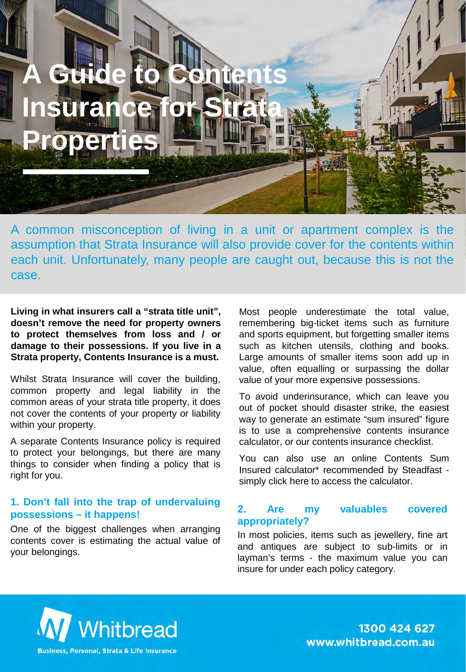# **A Guide to Contents Insura Properties**

A common misconception of living in a unit or apartment complex is the assumption that Strata Insurance will also provide cover for the contents within each unit. Unfortunately, many people are caught out, because this is not the case.

**Living in what insurers call a "strata title unit", doesn't remove the need for property owners to protect themselves from loss and / or damage to their possessions. If you live in a Strata property, Contents Insurance is a must.**

Whilst Strata Insurance will cover the building, common property and legal liability in the common areas of your strata title property, it does not cover the contents of your property or liability within your property.

A separate Contents Insurance policy is required to protect your belongings, but there are many things to consider when finding a policy that is right for you.

#### **1. Don't fall into the trap of undervaluing possessions – it happens!**

One of the biggest challenges when arranging contents cover is estimating the actual value of your belongings.

Most people underestimate the total value, remembering big-ticket items such as furniture and sports equipment, but forgetting smaller items such as kitchen utensils, clothing and books. Large amounts of smaller items soon add up in value, often equalling or surpassing the dollar value of your more expensive possessions.

To avoid underinsurance, which can leave you out of pocket should disaster strike, the easiest way to generate an estimate "sum insured" figure is to use a comprehensive contents insurance calculator, or our contents insurance checklist.

You can also use an online Contents Sum Insured calculator\* recommended by Steadfast simply click here to access the calculator.

#### **2. Are my valuables covered appropriately?**

In most policies, items such as jewellery, fine art and antiques are subject to sub-limits or in layman's terms - the maximum value you can insure for under each policy category.



1300 424 627 www.whitbread.com.au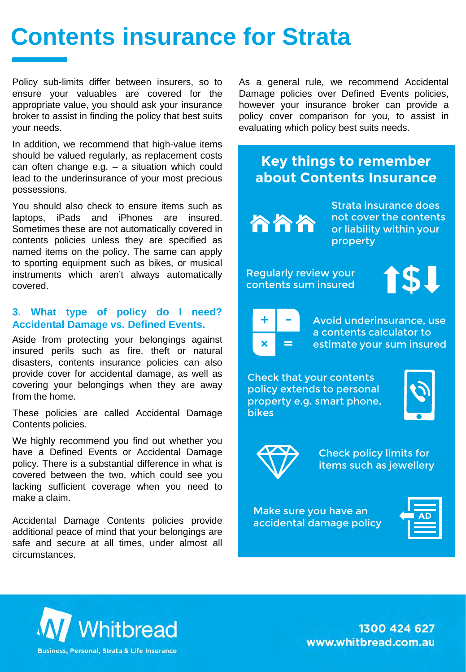# **Contents insurance for Strata**

Policy sub-limits differ between insurers, so to ensure your valuables are covered for the appropriate value, you should ask your insurance broker to assist in finding the policy that best suits your needs.

In addition, we recommend that high-value items should be valued regularly, as replacement costs can often change e.g.  $-$  a situation which could lead to the underinsurance of your most precious possessions.

You should also check to ensure items such as laptops, iPads and iPhones are insured. Sometimes these are not automatically covered in contents policies unless they are specified as named items on the policy. The same can apply to sporting equipment such as bikes, or musical instruments which aren't always automatically covered.

#### **3. What type of policy do I need? Accidental Damage vs. Defined Events.**

Aside from protecting your belongings against insured perils such as fire, theft or natural disasters, contents insurance policies can also provide cover for accidental damage, as well as covering your belongings when they are away from the home.

These policies are called Accidental Damage Contents policies.

We highly recommend you find out whether you have a Defined Events or Accidental Damage policy. There is a substantial difference in what is covered between the two, which could see you lacking sufficient coverage when you need to make a claim.

Accidental Damage Contents policies provide additional peace of mind that your belongings are safe and secure at all times, under almost all circumstances.

As a general rule, we recommend Accidental Damage policies over Defined Events policies, however your insurance broker can provide a policy cover comparison for you, to assist in evaluating which policy best suits needs.

### **Key things to remember about Contents Insurance**

ስስስ

Strata insurance does not cover the contents or liability within your property

Regularly review your contents sum insured



- = +

Avoid underinsurance, use a contents calculator to estimate your sum insured

Check that your contents policy extends to personal property e.g. smart phone, bikes





Check policy limits for items such as jewellery

Make sure you have an accidental damage policy



1300 424 627 www.whitbread.com.au